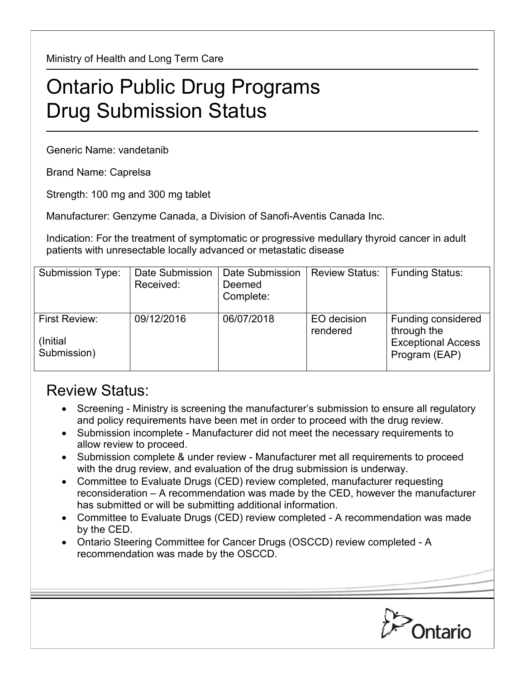Ministry of Health and Long Term Care

## Ontario Public Drug Programs Drug Submission Status

Generic Name: vandetanib

Brand Name: Caprelsa

Strength: 100 mg and 300 mg tablet

Manufacturer: Genzyme Canada, a Division of Sanofi-Aventis Canada Inc.

Indication: For the treatment of symptomatic or progressive medullary thyroid cancer in adult patients with unresectable locally advanced or metastatic disease

| <b>Submission Type:</b>                   | Date Submission<br>Received: | Date Submission<br>Deemed<br>Complete: | <b>Review Status:</b>   | <b>Funding Status:</b>                                                          |
|-------------------------------------------|------------------------------|----------------------------------------|-------------------------|---------------------------------------------------------------------------------|
| First Review:<br>(Initial)<br>Submission) | 09/12/2016                   | 06/07/2018                             | EO decision<br>rendered | Funding considered<br>through the<br><b>Exceptional Access</b><br>Program (EAP) |

## Review Status:

- Screening Ministry is screening the manufacturer's submission to ensure all regulatory and policy requirements have been met in order to proceed with the drug review.
- Submission incomplete Manufacturer did not meet the necessary requirements to allow review to proceed.
- Submission complete & under review Manufacturer met all requirements to proceed with the drug review, and evaluation of the drug submission is underway.
- Committee to Evaluate Drugs (CED) review completed, manufacturer requesting reconsideration – A recommendation was made by the CED, however the manufacturer has submitted or will be submitting additional information.
- Committee to Evaluate Drugs (CED) review completed A recommendation was made by the CED.
- Ontario Steering Committee for Cancer Drugs (OSCCD) review completed A recommendation was made by the OSCCD.